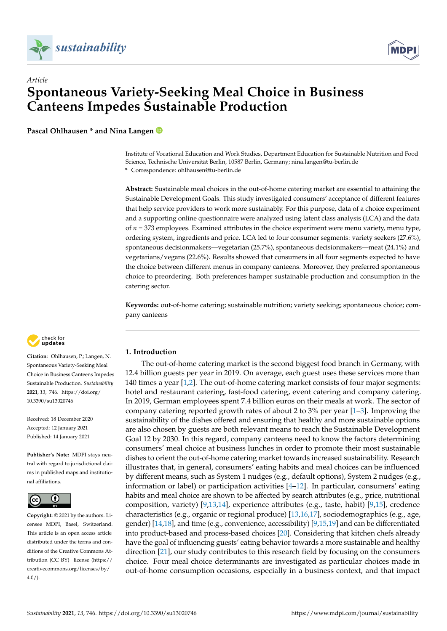



## *Article* **Spontaneous Variety-Seeking Meal Choice in Business Canteens Impedes Sustainable Production**

**Pascal Ohlhausen \* and Nina Langen**

Institute of Vocational Education and Work Studies, Department Education for Sustainable Nutrition and Food Science, Technische Universität Berlin, 10587 Berlin, Germany; nina.langen@tu-berlin.de **\*** Correspondence: ohlhausen@tu-berlin.de

**Abstract:** Sustainable meal choices in the out-of-home catering market are essential to attaining the Sustainable Development Goals. This study investigated consumers' acceptance of different features that help service providers to work more sustainably. For this purpose, data of a choice experiment and a supporting online questionnaire were analyzed using latent class analysis (LCA) and the data of *n* = 373 employees. Examined attributes in the choice experiment were menu variety, menu type, ordering system, ingredients and price. LCA led to four consumer segments: variety seekers (27.6%), spontaneous decisionmakers—vegetarian (25.7%), spontaneous decisionmakers—meat (24.1%) and vegetarians/vegans (22.6%). Results showed that consumers in all four segments expected to have the choice between different menus in company canteens. Moreover, they preferred spontaneous choice to preordering. Both preferences hamper sustainable production and consumption in the catering sector.

**Keywords:** out-of-home catering; sustainable nutrition; variety seeking; spontaneous choice; company canteens



**Citation:** Ohlhausen, P.; Langen, N. Spontaneous Variety-Seeking Meal Choice in Business Canteens Impedes Sustainable Production. *Sustainability* **2021**, *13*, 746. [https://doi.org/](https://doi.org/10.3390/su13020746) [10.3390/su13020746](https://doi.org/10.3390/su13020746)

Received: 18 December 2020 Accepted: 12 January 2021 Published: 14 January 2021

**Publisher's Note:** MDPI stays neutral with regard to jurisdictional claims in published maps and institutional affiliations.



**Copyright:** © 2021 by the authors. Licensee MDPI, Basel, Switzerland. This article is an open access article distributed under the terms and conditions of the Creative Commons Attribution (CC BY) license [\(https://](https://creativecommons.org/licenses/by/4.0/) [creativecommons.org/licenses/by/](https://creativecommons.org/licenses/by/4.0/)  $4.0/$ ).

### **1. Introduction**

The out-of-home catering market is the second biggest food branch in Germany, with 12.4 billion guests per year in 2019. On average, each guest uses these services more than 140 times a year  $[1,2]$  $[1,2]$ . The out-of-home catering market consists of four major segments: hotel and restaurant catering, fast-food catering, event catering and company catering. In 2019, German employees spent 7.4 billion euros on their meals at work. The sector of company catering reported growth rates of about 2 to 3% per year [\[1](#page-12-0)[–3\]](#page-12-2). Improving the sustainability of the dishes offered and ensuring that healthy and more sustainable options are also chosen by guests are both relevant means to reach the Sustainable Development Goal 12 by 2030. In this regard, company canteens need to know the factors determining consumers' meal choice at business lunches in order to promote their most sustainable dishes to orient the out-of-home catering market towards increased sustainability. Research illustrates that, in general, consumers' eating habits and meal choices can be influenced by different means, such as System 1 nudges (e.g., default options), System 2 nudges (e.g., information or label) or participation activities  $[4-12]$  $[4-12]$ . In particular, consumers' eating habits and meal choice are shown to be affected by search attributes (e.g., price, nutritional composition, variety) [\[9,](#page-12-5)[13,](#page-12-6)[14\]](#page-12-7), experience attributes (e.g., taste, habit) [\[9](#page-12-5)[,15\]](#page-12-8), credence characteristics (e.g., organic or regional produce) [\[13,](#page-12-6)[16,](#page-12-9)[17\]](#page-13-0), sociodemographics (e.g., age, gender) [\[14,](#page-12-7)[18\]](#page-13-1), and time (e.g., convenience, accessibility) [\[9,](#page-12-5)[15,](#page-12-8)[19\]](#page-13-2) and can be differentiated into product-based and process-based choices [\[20\]](#page-13-3). Considering that kitchen chefs already have the goal of influencing guests' eating behavior towards a more sustainable and healthy direction [\[21\]](#page-13-4), our study contributes to this research field by focusing on the consumers choice. Four meal choice determinants are investigated as particular choices made in out-of-home consumption occasions, especially in a business context, and that impact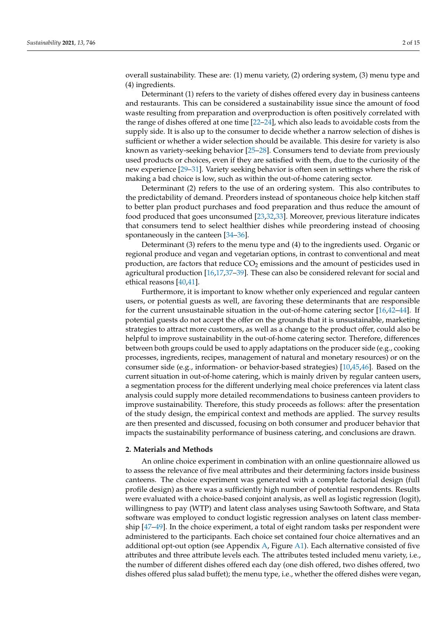overall sustainability. These are: (1) menu variety, (2) ordering system, (3) menu type and (4) ingredients.

Determinant (1) refers to the variety of dishes offered every day in business canteens and restaurants. This can be considered a sustainability issue since the amount of food waste resulting from preparation and overproduction is often positively correlated with the range of dishes offered at one time [\[22](#page-13-5)[–24\]](#page-13-6), which also leads to avoidable costs from the supply side. It is also up to the consumer to decide whether a narrow selection of dishes is sufficient or whether a wider selection should be available. This desire for variety is also known as variety-seeking behavior [\[25](#page-13-7)[–28\]](#page-13-8). Consumers tend to deviate from previously used products or choices, even if they are satisfied with them, due to the curiosity of the new experience [\[29](#page-13-9)[–31\]](#page-13-10). Variety seeking behavior is often seen in settings where the risk of making a bad choice is low, such as within the out-of-home catering sector.

Determinant (2) refers to the use of an ordering system. This also contributes to the predictability of demand. Preorders instead of spontaneous choice help kitchen staff to better plan product purchases and food preparation and thus reduce the amount of food produced that goes unconsumed [\[23](#page-13-11)[,32](#page-13-12)[,33\]](#page-13-13). Moreover, previous literature indicates that consumers tend to select healthier dishes while preordering instead of choosing spontaneously in the canteen [\[34](#page-13-14)[–36\]](#page-13-15).

Determinant (3) refers to the menu type and (4) to the ingredients used. Organic or regional produce and vegan and vegetarian options, in contrast to conventional and meat production, are factors that reduce  $CO<sub>2</sub>$  emissions and the amount of pesticides used in agricultural production [\[16](#page-12-9)[,17](#page-13-0)[,37](#page-13-16)[–39\]](#page-13-17). These can also be considered relevant for social and ethical reasons [\[40,](#page-13-18)[41\]](#page-13-19).

Furthermore, it is important to know whether only experienced and regular canteen users, or potential guests as well, are favoring these determinants that are responsible for the current unsustainable situation in the out-of-home catering sector [\[16](#page-12-9)[,42–](#page-13-20)[44\]](#page-13-21). If potential guests do not accept the offer on the grounds that it is unsustainable, marketing strategies to attract more customers, as well as a change to the product offer, could also be helpful to improve sustainability in the out-of-home catering sector. Therefore, differences between both groups could be used to apply adaptations on the producer side (e.g., cooking processes, ingredients, recipes, management of natural and monetary resources) or on the consumer side (e.g., information- or behavior-based strategies) [\[10](#page-12-10)[,45](#page-13-22)[,46\]](#page-13-23). Based on the current situation in out-of-home catering, which is mainly driven by regular canteen users, a segmentation process for the different underlying meal choice preferences via latent class analysis could supply more detailed recommendations to business canteen providers to improve sustainability. Therefore, this study proceeds as follows: after the presentation of the study design, the empirical context and methods are applied. The survey results are then presented and discussed, focusing on both consumer and producer behavior that impacts the sustainability performance of business catering, and conclusions are drawn.

#### **2. Materials and Methods**

An online choice experiment in combination with an online questionnaire allowed us to assess the relevance of five meal attributes and their determining factors inside business canteens. The choice experiment was generated with a complete factorial design (full profile design) as there was a sufficiently high number of potential respondents. Results were evaluated with a choice-based conjoint analysis, as well as logistic regression (logit), willingness to pay (WTP) and latent class analyses using Sawtooth Software, and Stata software was employed to conduct logistic regression analyses on latent class membership [\[47](#page-14-0)[–49\]](#page-14-1). In the choice experiment, a total of eight random tasks per respondent were administered to the participants. Each choice set contained four choice alternatives and an additional opt-out option (see Appendix  $A$ , Figure [A1\)](#page-9-1). Each alternative consisted of five attributes and three attribute levels each. The attributes tested included menu variety, i.e., the number of different dishes offered each day (one dish offered, two dishes offered, two dishes offered plus salad buffet); the menu type, i.e., whether the offered dishes were vegan,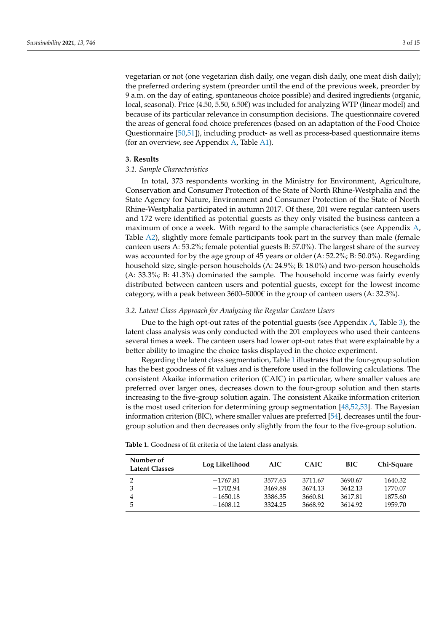vegetarian or not (one vegetarian dish daily, one vegan dish daily, one meat dish daily); the preferred ordering system (preorder until the end of the previous week, preorder by 9 a.m. on the day of eating, spontaneous choice possible) and desired ingredients (organic, local, seasonal). Price (4.50, 5.50, 6.50€) was included for analyzing WTP (linear model) and because of its particular relevance in consumption decisions. The questionnaire covered the areas of general food choice preferences (based on an adaptation of the Food Choice Questionnaire [\[50,](#page-14-2)[51\]](#page-14-3)), including product- as well as process-based questionnaire items (for an overview, see Appendix [A,](#page-9-0) Table [A1\)](#page-10-0).

### **3. Results**

### *3.1. Sample Characteristics*

In total, 373 respondents working in the Ministry for Environment, Agriculture, Conservation and Consumer Protection of the State of North Rhine-Westphalia and the State Agency for Nature, Environment and Consumer Protection of the State of North Rhine-Westphalia participated in autumn 2017. Of these, 201 were regular canteen users and 172 were identified as potential guests as they only visited the business canteen a maximum of once a week. With regard to the sample characteristics (see Appendix [A,](#page-9-0) Table [A2\)](#page-11-0), slightly more female participants took part in the survey than male (female canteen users A: 53.2%; female potential guests B: 57.0%). The largest share of the survey was accounted for by the age group of 45 years or older (A: 52.2%; B: 50.0%). Regarding household size, single-person households (A: 24.9%; B: 18.0%) and two-person households (A: 33.3%; B: 41.3%) dominated the sample. The household income was fairly evenly distributed between canteen users and potential guests, except for the lowest income category, with a peak between  $3600-5000\epsilon$  in the group of canteen users (A: 32.3%).

### *3.2. Latent Class Approach for Analyzing the Regular Canteen Users*

Due to the high opt-out rates of the potential guests (see Appendix [A,](#page-9-0) Table [3\)](#page-11-1), the latent class analysis was only conducted with the 201 employees who used their canteens several times a week. The canteen users had lower opt-out rates that were explainable by a better ability to imagine the choice tasks displayed in the choice experiment.

Regarding the latent class segmentation, Table [1](#page-2-0) illustrates that the four-group solution has the best goodness of fit values and is therefore used in the following calculations. The consistent Akaike information criterion (CAIC) in particular, where smaller values are preferred over larger ones, decreases down to the four-group solution and then starts increasing to the five-group solution again. The consistent Akaike information criterion is the most used criterion for determining group segmentation [\[48](#page-14-4)[,52](#page-14-5)[,53\]](#page-14-6). The Bayesian information criterion (BIC), where smaller values are preferred [\[54\]](#page-14-7), decreases until the fourgroup solution and then decreases only slightly from the four to the five-group solution.

<span id="page-2-0"></span>**Table 1.** Goodness of fit criteria of the latent class analysis.

| Number of<br><b>Latent Classes</b> | Log Likelihood | AIC.    | <b>CAIC</b> | <b>BIC</b> | Chi-Square |
|------------------------------------|----------------|---------|-------------|------------|------------|
| າ                                  | $-1767.81$     | 3577.63 | 3711.67     | 3690.67    | 1640.32    |
| 3                                  | $-1702.94$     | 3469.88 | 3674.13     | 3642.13    | 1770.07    |
| 4                                  | $-1650.18$     | 3386.35 | 3660.81     | 3617.81    | 1875.60    |
| 5                                  | $-1608.12$     | 3324.25 | 3668.92     | 3614.92    | 1959.70    |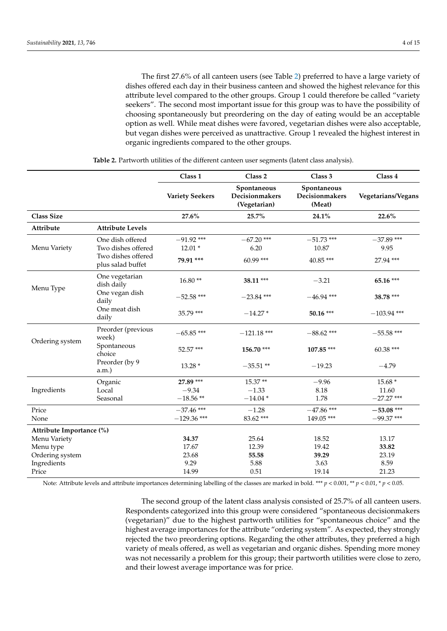The first 27.6% of all canteen users (see Table [2\)](#page-3-0) preferred to have a large variety of dishes offered each day in their business canteen and showed the highest relevance for this attribute level compared to the other groups. Group 1 could therefore be called "variety seekers". The second most important issue for this group was to have the possibility of choosing spontaneously but preordering on the day of eating would be an acceptable option as well. While meat dishes were favored, vegetarian dishes were also acceptable, but vegan dishes were perceived as unattractive. Group 1 revealed the highest interest in organic ingredients compared to the other groups.

<span id="page-3-0"></span>

|                          |                                                              | Class 1                       | Class 2                                       | Class 3                                 | Class 4                      |
|--------------------------|--------------------------------------------------------------|-------------------------------|-----------------------------------------------|-----------------------------------------|------------------------------|
|                          |                                                              | <b>Variety Seekers</b>        | Spontaneous<br>Decisionmakers<br>(Vegetarian) | Spontaneous<br>Decisionmakers<br>(Meat) | Vegetarians/Vegans           |
| <b>Class Size</b>        |                                                              | 27.6%                         | 25.7%                                         | 24.1%                                   | 22.6%                        |
| Attribute                | <b>Attribute Levels</b>                                      |                               |                                               |                                         |                              |
| Menu Variety             | One dish offered<br>Two dishes offered<br>Two dishes offered | $-91.92$ ***<br>$12.01*$      | $-67.20$ ***<br>6.20                          | $-51.73$ ***<br>10.87                   | $-37.89$ ***<br>9.95         |
|                          | plus salad buffet                                            | 79.91 ***                     | $60.99***$                                    | 40.85 ***                               | 27.94 ***                    |
| Menu Type                | One vegetarian<br>dish daily                                 | $16.80**$                     | 38.11 ***                                     | $-3.21$                                 | 65.16 ***                    |
|                          | One vegan dish<br>daily                                      | $-52.58$ ***                  | $-23.84$ ***                                  | $-46.94$ ***                            | 38.78 ***                    |
|                          | One meat dish<br>daily                                       | 35.79 ***                     | $-14.27*$                                     | $50.16***$                              | $-103.94$ ***                |
| Ordering system          | Preorder (previous<br>week)                                  | $-65.85***$                   | $-121.18$ ***                                 | $-88.62$ ***                            | $-55.58$ ***                 |
|                          | Spontaneous<br>choice                                        | $52.57***$                    | 156.70 ***                                    | 107.85 ***                              | $60.38***$                   |
|                          | Preorder (by 9<br>a.m.)                                      | 13.28 *                       | $-35.51**$                                    | $-19.23$                                | $-4.79$                      |
|                          | Organic                                                      | 27.89 ***                     | 15.37**                                       | $-9.96$                                 | 15.68 *                      |
| Ingredients              | Local                                                        | $-9.34$                       | $-1.33$                                       | 8.18                                    | 11.60                        |
|                          | Seasonal                                                     | $-18.56**$                    | $-14.04*$                                     | 1.78                                    | $-27.27$ ***                 |
| Price<br>None            |                                                              | $-37.46$ ***<br>$-129.36$ *** | $-1.28$<br>83.62***                           | $-47.86$ ***<br>149.05***               | $-53.08$ ***<br>$-99.37$ *** |
| Attribute Importance (%) |                                                              |                               |                                               |                                         |                              |
| Menu Variety             |                                                              | 34.37                         | 25.64                                         | 18.52                                   | 13.17                        |
| Menu type                |                                                              | 17.67                         | 12.39                                         | 19.42                                   | 33.82                        |
| Ordering system          |                                                              | 23.68                         | 55.58                                         | 39.29                                   | 23.19                        |
| Ingredients              |                                                              | 9.29                          | 5.88                                          | 3.63                                    | 8.59                         |
| Price                    |                                                              | 14.99                         | 0.51                                          | 19.14                                   | 21.23                        |

**Table 2.** Partworth utilities of the different canteen user segments (latent class analysis).

Note: Attribute levels and attribute importances determining labelling of the classes are marked in bold. \*\*\*  $p < 0.001$ , \*\*  $p < 0.01$ , \*  $p < 0.05$ .

The second group of the latent class analysis consisted of 25.7% of all canteen users. Respondents categorized into this group were considered "spontaneous decisionmakers (vegetarian)" due to the highest partworth utilities for "spontaneous choice" and the highest average importances for the attribute "ordering system". As expected, they strongly rejected the two preordering options. Regarding the other attributes, they preferred a high variety of meals offered, as well as vegetarian and organic dishes. Spending more money was not necessarily a problem for this group; their partworth utilities were close to zero, and their lowest average importance was for price.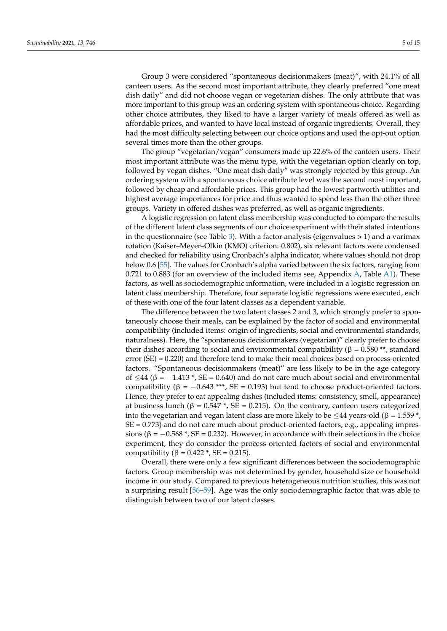Group 3 were considered "spontaneous decisionmakers (meat)", with 24.1% of all canteen users. As the second most important attribute, they clearly preferred "one meat dish daily" and did not choose vegan or vegetarian dishes. The only attribute that was more important to this group was an ordering system with spontaneous choice. Regarding other choice attributes, they liked to have a larger variety of meals offered as well as affordable prices, and wanted to have local instead of organic ingredients. Overall, they had the most difficulty selecting between our choice options and used the opt-out option several times more than the other groups.

The group "vegetarian/vegan" consumers made up 22.6% of the canteen users. Their most important attribute was the menu type, with the vegetarian option clearly on top, followed by vegan dishes. "One meat dish daily" was strongly rejected by this group. An ordering system with a spontaneous choice attribute level was the second most important, followed by cheap and affordable prices. This group had the lowest partworth utilities and highest average importances for price and thus wanted to spend less than the other three groups. Variety in offered dishes was preferred, as well as organic ingredients.

A logistic regression on latent class membership was conducted to compare the results of the different latent class segments of our choice experiment with their stated intentions in the questionnaire (see Table [3\)](#page-5-0). With a factor analysis (eigenvalues  $> 1$ ) and a varimax rotation (Kaiser–Meyer–Olkin (KMO) criterion: 0.802), six relevant factors were condensed and checked for reliability using Cronbach's alpha indicator, where values should not drop below 0.6 [\[55\]](#page-14-8). The values for Cronbach's alpha varied between the six factors, ranging from 0.721 to 0.883 (for an overview of the included items see, Appendix [A,](#page-9-0) Table [A1\)](#page-10-0). These factors, as well as sociodemographic information, were included in a logistic regression on latent class membership. Therefore, four separate logistic regressions were executed, each of these with one of the four latent classes as a dependent variable.

The difference between the two latent classes 2 and 3, which strongly prefer to spontaneously choose their meals, can be explained by the factor of social and environmental compatibility (included items: origin of ingredients, social and environmental standards, naturalness). Here, the "spontaneous decisionmakers (vegetarian)" clearly prefer to choose their dishes according to social and environmental compatibility (β = 0.580 \*\*, standard error (SE) = 0.220) and therefore tend to make their meal choices based on process-oriented factors. "Spontaneous decisionmakers (meat)" are less likely to be in the age category of ≤44 (β = −1.413 \*, SE = 0.640) and do not care much about social and environmental compatibility ( $β = -0.643$  \*\*\*, SE = 0.193) but tend to choose product-oriented factors. Hence, they prefer to eat appealing dishes (included items: consistency, smell, appearance) at business lunch (β =  $0.547$ <sup>\*</sup>, SE = 0.215). On the contrary, canteen users categorized into the vegetarian and vegan latent class are more likely to be  $\leq$ 44 years-old ( $\beta$  = 1.559<sup>\*</sup>, SE = 0.773) and do not care much about product-oriented factors, e.g., appealing impressions ( $\beta = -0.568$  \*, SE = 0.232). However, in accordance with their selections in the choice experiment, they do consider the process-oriented factors of social and environmental compatibility (β =  $0.422$  \*, SE = 0.215).

Overall, there were only a few significant differences between the sociodemographic factors. Group membership was not determined by gender, household size or household income in our study. Compared to previous heterogeneous nutrition studies, this was not a surprising result [\[56](#page-14-9)[–59\]](#page-14-10). Age was the only sociodemographic factor that was able to distinguish between two of our latent classes.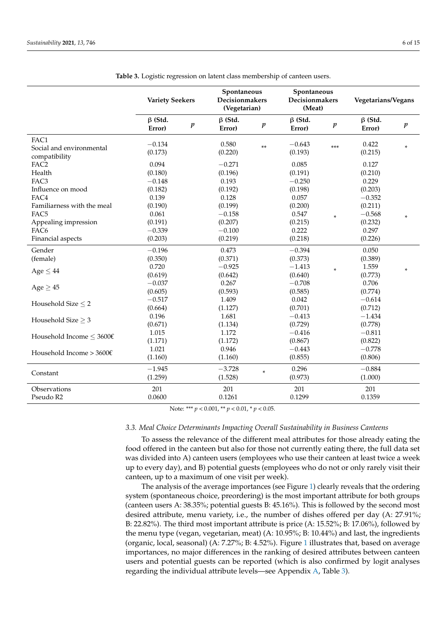<span id="page-5-0"></span>

|                                                                                                                         | <b>Variety Seekers</b>                                      |                  | Spontaneous<br>Decisionmakers<br>(Vegetarian)                  |                  | Spontaneous<br>Decisionmakers<br>(Meat)                  |                  | Vegetarians/Vegans                                             |                  |
|-------------------------------------------------------------------------------------------------------------------------|-------------------------------------------------------------|------------------|----------------------------------------------------------------|------------------|----------------------------------------------------------|------------------|----------------------------------------------------------------|------------------|
|                                                                                                                         | $\beta$ (Std.<br>Error)                                     | $\boldsymbol{p}$ | $\beta$ (Std.<br>Error)                                        | $\boldsymbol{p}$ | $\beta$ (Std.<br>Error)                                  | $\boldsymbol{p}$ | $\beta$ (Std.<br>Error)                                        | $\boldsymbol{p}$ |
| FAC1<br>Social and environmental<br>compatibility                                                                       | $-0.134$<br>(0.173)                                         |                  | 0.580<br>(0.220)                                               | $***$            | $-0.643$<br>(0.193)                                      | $***$            | 0.422<br>(0.215)                                               | $\ast$           |
| FAC <sub>2</sub><br>Health<br>FAC3<br>Influence on mood                                                                 | 0.094<br>(0.180)<br>$-0.148$<br>(0.182)                     |                  | $-0.271$<br>(0.196)<br>0.193<br>(0.192)                        |                  | 0.085<br>(0.191)<br>$-0.250$<br>(0.198)                  |                  | 0.127<br>(0.210)<br>0.229<br>(0.203)                           |                  |
| FAC4<br>Familiarness with the meal<br>FAC <sub>5</sub><br>Appealing impression<br>FAC <sub>6</sub><br>Financial aspects | 0.139<br>(0.190)<br>0.061<br>(0.191)<br>$-0.339$<br>(0.203) |                  | 0.128<br>(0.199)<br>$-0.158$<br>(0.207)<br>$-0.100$<br>(0.219) |                  | 0.057<br>(0.200)<br>0.547<br>(0.215)<br>0.222<br>(0.218) | *                | $-0.352$<br>(0.211)<br>$-0.568$<br>(0.232)<br>0.297<br>(0.226) | $\ast$           |
| Gender<br>(female)                                                                                                      | $-0.196$<br>(0.350)                                         |                  | 0.473<br>(0.371)                                               |                  | $-0.394$<br>(0.373)                                      |                  | 0.050<br>(0.389)                                               |                  |
| Age $\leq 44$                                                                                                           | 0.720<br>(0.619)                                            |                  | $-0.925$<br>(0.642)                                            |                  | $-1.413$<br>(0.640)                                      | ×                | 1.559<br>(0.773)                                               | $\ast$           |
| Age $\geq$ 45                                                                                                           | $-0.037$<br>(0.605)                                         |                  | 0.267<br>(0.593)                                               |                  | $-0.708$<br>(0.585)                                      |                  | 0.706<br>(0.774)                                               |                  |
| Household Size $\leq$ 2                                                                                                 | $-0.517$<br>(0.664)<br>0.196                                |                  | 1.409<br>(1.127)<br>1.681                                      |                  | 0.042<br>(0.701)<br>$-0.413$                             |                  | $-0.614$<br>(0.712)<br>$-1.434$                                |                  |
| Household Size $\geq$ 3                                                                                                 | (0.671)<br>1.015                                            |                  | (1.134)<br>1.172                                               |                  | (0.729)<br>$-0.416$                                      |                  | (0.778)<br>$-0.811$                                            |                  |
| Household Income $\leq 3600 \epsilon$<br>Household Income > $3600 \text{€}$                                             | (1.171)<br>1.021                                            |                  | (1.172)<br>0.946                                               |                  | (0.867)<br>$-0.443$                                      |                  | (0.822)<br>$-0.778$                                            |                  |
| Constant                                                                                                                | (1.160)<br>$-1.945$                                         |                  | (1.160)<br>$-3.728$                                            | $\ast$           | (0.855)<br>0.296                                         |                  | (0.806)<br>$-0.884$                                            |                  |
|                                                                                                                         | (1.259)                                                     |                  | (1.528)                                                        |                  | (0.973)                                                  |                  | (1.000)                                                        |                  |
| Observations<br>Pseudo R2                                                                                               | 201<br>0.0600                                               |                  | 201<br>0.1261                                                  |                  | 201<br>0.1299                                            |                  | 201<br>0.1359                                                  |                  |

**Table 3.** Logistic regression on latent class membership of canteen users.

Note: \*\*\* *p* < 0.001, \*\* *p* < 0.01, \* *p* < 0.05.

### *3.3. Meal Choice Determinants Impacting Overall Sustainability in Business Canteens*

To assess the relevance of the different meal attributes for those already eating the food offered in the canteen but also for those not currently eating there, the full data set was divided into A) canteen users (employees who use their canteen at least twice a week up to every day), and B) potential guests (employees who do not or only rarely visit their canteen, up to a maximum of one visit per week).

The analysis of the average importances (see Figure [1\)](#page-6-0) clearly reveals that the ordering system (spontaneous choice, preordering) is the most important attribute for both groups (canteen users A: 38.35%; potential guests B: 45.16%). This is followed by the second most desired attribute, menu variety, i.e., the number of dishes offered per day (A: 27.91%; B: 22.82%). The third most important attribute is price (A: 15.52%; B: 17.06%), followed by the menu type (vegan, vegetarian, meat) (A: 10.95%; B: 10.44%) and last, the ingredients (organic, local, seasonal) (A: 7.27%; B: 4.52%). Figure [1](#page-6-0) illustrates that, based on average importances, no major differences in the ranking of desired attributes between canteen users and potential guests can be reported (which is also confirmed by logit analyses regarding the individual attribute levels—see Appendix [A,](#page-9-0) Table [3\)](#page-11-1).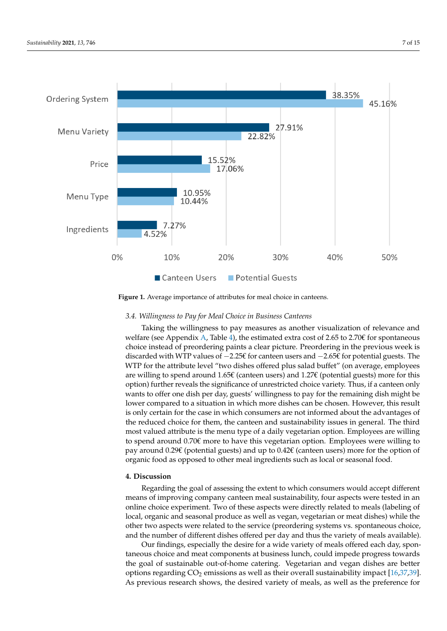<span id="page-6-0"></span>

**Figure 1.** Average importance of attributes for meal choice in canteens. **Figure 1.** Average importance of attributes for meal choice in canteens.

### *3.4. Willingness to Pay for Meal Choice in Business Canteens 3.4. Willingness to Pay for Meal Choice in Business Canteens*

Taking the willingness to pay measures as another visualization of relevance and Taking the willingness to pay measures as another visualization of relevance and we have (see Appendix A, Table A), the estimated extra cost of 2.65 to 2.70€ for spontaneous<br>choice instead of preordering paints a clear picture. Preordering in the previous week is discarded with WTP values of −2.25€ for canteen users and −2.65€ for potential guests. The WTP for the attribute level "two dishes offered plus salad buffet" (on average, employees are willing to spend around 1.65€ (canteen users) and 1.27€ (potential guests) more for this option) further reveals the significance of unrestricted choice variety. Thus, if a canteen only wants to offer one dish per day, guests' willingness to pay for the remaining dish might be lower compared to a situation in which more dishes can be chosen. However, this result is only certain for the case in which consumers are not informed about the advantages of<br>the carbonal distinction for the case in which consumers are not included intervals in consult. The third most valued attribute is the menu type of a daily vegetarian option. Employees are willing most valued attribute is the menu type of a daily vegetarian option. Employees are willing to spend around  $0.70\epsilon$  more to have this vegetarian option. Employees were willing to pay around 0.29€ (potential guests) and up to 0.42€ (canteen users) more for the option of welfare (see Appendix [A,](#page-9-0) Table [4\)](#page-12-11), the estimated extra cost of 2.65 to 2.70 $\epsilon$  for spontaneous the reduced choice for them, the canteen and sustainability issues in general. The third organic food as opposed to other meal ingredients such as local or seasonal food.

### **4. Discussion**

Regarding the goal of assessing the extent to which consumers would accept different means of improving company canteen meal sustainability, four aspects were tested in an online choice experiment. Two of these aspects were directly related to meals (labeling of local, organic and seasonal produce as well as vegan, vegetarian or meat dishes) while the other two aspects were related to the service (preordering systems vs. spontaneous choice, and the number of different dishes offered per day and thus the variety of meals available).

Our findings, especially the desire for a wide variety of meals offered each day, spontaneous choice and meat components at business lunch, could impede progress towards the goal of sustainable out-of-home catering. Vegetarian and vegan dishes are better options regarding  $CO<sub>2</sub>$  emissions as well as their overall sustainability impact [\[16](#page-12-9)[,37,](#page-13-16)[39\]](#page-13-17). As previous research shows, the desired variety of meals, as well as the preference for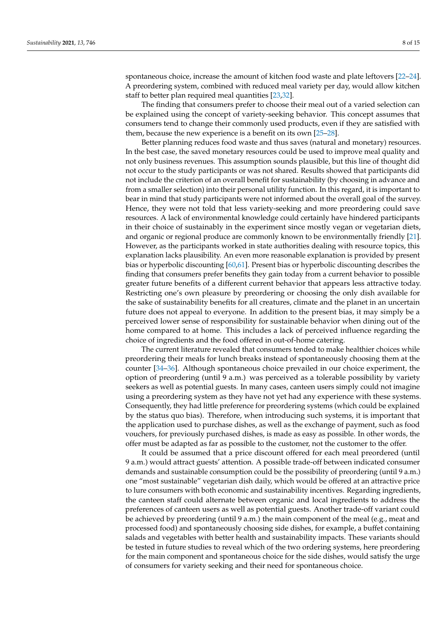spontaneous choice, increase the amount of kitchen food waste and plate leftovers [\[22](#page-13-5)[–24\]](#page-13-6). A preordering system, combined with reduced meal variety per day, would allow kitchen staff to better plan required meal quantities [\[23](#page-13-11)[,32\]](#page-13-12).

The finding that consumers prefer to choose their meal out of a varied selection can be explained using the concept of variety-seeking behavior. This concept assumes that consumers tend to change their commonly used products, even if they are satisfied with them, because the new experience is a benefit on its own [\[25](#page-13-7)[–28\]](#page-13-8).

Better planning reduces food waste and thus saves (natural and monetary) resources. In the best case, the saved monetary resources could be used to improve meal quality and not only business revenues. This assumption sounds plausible, but this line of thought did not occur to the study participants or was not shared. Results showed that participants did not include the criterion of an overall benefit for sustainability (by choosing in advance and from a smaller selection) into their personal utility function. In this regard, it is important to bear in mind that study participants were not informed about the overall goal of the survey. Hence, they were not told that less variety-seeking and more preordering could save resources. A lack of environmental knowledge could certainly have hindered participants in their choice of sustainably in the experiment since mostly vegan or vegetarian diets, and organic or regional produce are commonly known to be environmentally friendly [\[21\]](#page-13-4). However, as the participants worked in state authorities dealing with resource topics, this explanation lacks plausibility. An even more reasonable explanation is provided by present bias or hyperbolic discounting [\[60,](#page-14-11)[61\]](#page-14-12). Present bias or hyperbolic discounting describes the finding that consumers prefer benefits they gain today from a current behavior to possible greater future benefits of a different current behavior that appears less attractive today. Restricting one's own pleasure by preordering or choosing the only dish available for the sake of sustainability benefits for all creatures, climate and the planet in an uncertain future does not appeal to everyone. In addition to the present bias, it may simply be a perceived lower sense of responsibility for sustainable behavior when dining out of the home compared to at home. This includes a lack of perceived influence regarding the choice of ingredients and the food offered in out-of-home catering.

The current literature revealed that consumers tended to make healthier choices while preordering their meals for lunch breaks instead of spontaneously choosing them at the counter [\[34–](#page-13-14)[36\]](#page-13-15). Although spontaneous choice prevailed in our choice experiment, the option of preordering (until 9 a.m.) was perceived as a tolerable possibility by variety seekers as well as potential guests. In many cases, canteen users simply could not imagine using a preordering system as they have not yet had any experience with these systems. Consequently, they had little preference for preordering systems (which could be explained by the status quo bias). Therefore, when introducing such systems, it is important that the application used to purchase dishes, as well as the exchange of payment, such as food vouchers, for previously purchased dishes, is made as easy as possible. In other words, the offer must be adapted as far as possible to the customer, not the customer to the offer.

It could be assumed that a price discount offered for each meal preordered (until 9 a.m.) would attract guests' attention. A possible trade-off between indicated consumer demands and sustainable consumption could be the possibility of preordering (until 9 a.m.) one "most sustainable" vegetarian dish daily, which would be offered at an attractive price to lure consumers with both economic and sustainability incentives. Regarding ingredients, the canteen staff could alternate between organic and local ingredients to address the preferences of canteen users as well as potential guests. Another trade-off variant could be achieved by preordering (until 9 a.m.) the main component of the meal (e.g., meat and processed food) and spontaneously choosing side dishes, for example, a buffet containing salads and vegetables with better health and sustainability impacts. These variants should be tested in future studies to reveal which of the two ordering systems, here preordering for the main component and spontaneous choice for the side dishes, would satisfy the urge of consumers for variety seeking and their need for spontaneous choice.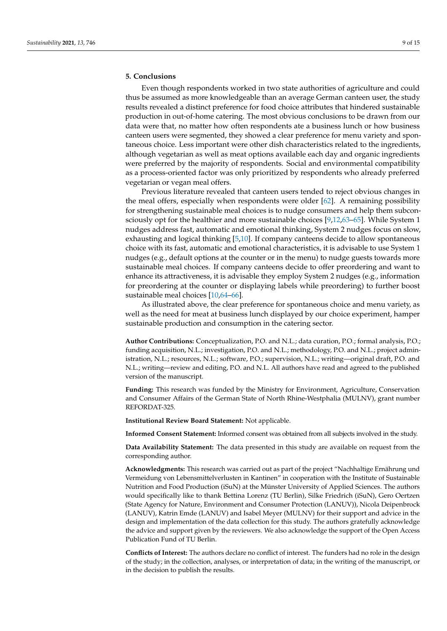### **5. Conclusions**

Even though respondents worked in two state authorities of agriculture and could thus be assumed as more knowledgeable than an average German canteen user, the study results revealed a distinct preference for food choice attributes that hindered sustainable production in out-of-home catering. The most obvious conclusions to be drawn from our data were that, no matter how often respondents ate a business lunch or how business canteen users were segmented, they showed a clear preference for menu variety and spontaneous choice. Less important were other dish characteristics related to the ingredients, although vegetarian as well as meat options available each day and organic ingredients were preferred by the majority of respondents. Social and environmental compatibility as a process-oriented factor was only prioritized by respondents who already preferred vegetarian or vegan meal offers.

Previous literature revealed that canteen users tended to reject obvious changes in the meal offers, especially when respondents were older [\[62\]](#page-14-13). A remaining possibility for strengthening sustainable meal choices is to nudge consumers and help them subconsciously opt for the healthier and more sustainable choices [\[9](#page-12-5)[,12](#page-12-4)[,63–](#page-14-14)[65\]](#page-14-15). While System 1 nudges address fast, automatic and emotional thinking, System 2 nudges focus on slow, exhausting and logical thinking [\[5,](#page-12-12)[10\]](#page-12-10). If company canteens decide to allow spontaneous choice with its fast, automatic and emotional characteristics, it is advisable to use System 1 nudges (e.g., default options at the counter or in the menu) to nudge guests towards more sustainable meal choices. If company canteens decide to offer preordering and want to enhance its attractiveness, it is advisable they employ System 2 nudges (e.g., information for preordering at the counter or displaying labels while preordering) to further boost sustainable meal choices [\[10](#page-12-10)[,64](#page-14-16)[–66\]](#page-14-17).

As illustrated above, the clear preference for spontaneous choice and menu variety, as well as the need for meat at business lunch displayed by our choice experiment, hamper sustainable production and consumption in the catering sector.

**Author Contributions:** Conceptualization, P.O. and N.L.; data curation, P.O.; formal analysis, P.O.; funding acquisition, N.L.; investigation, P.O. and N.L.; methodology, P.O. and N.L.; project administration, N.L.; resources, N.L.; software, P.O.; supervision, N.L.; writing—original draft, P.O. and N.L.; writing—review and editing, P.O. and N.L. All authors have read and agreed to the published version of the manuscript.

**Funding:** This research was funded by the Ministry for Environment, Agriculture, Conservation and Consumer Affairs of the German State of North Rhine-Westphalia (MULNV), grant number REFORDAT-325.

**Institutional Review Board Statement:** Not applicable.

**Informed Consent Statement:** Informed consent was obtained from all subjects involved in the study.

**Data Availability Statement:** The data presented in this study are available on request from the corresponding author.

**Acknowledgments:** This research was carried out as part of the project "Nachhaltige Ernährung und Vermeidung von Lebensmittelverlusten in Kantinen" in cooperation with the Institute of Sustainable Nutrition and Food Production (iSuN) at the Münster University of Applied Sciences. The authors would specifically like to thank Bettina Lorenz (TU Berlin), Silke Friedrich (iSuN), Gero Oertzen (State Agency for Nature, Environment and Consumer Protection (LANUV)), Nicola Deipenbrock (LANUV), Katrin Emde (LANUV) and Isabel Meyer (MULNV) for their support and advice in the design and implementation of the data collection for this study. The authors gratefully acknowledge the advice and support given by the reviewers. We also acknowledge the support of the Open Access Publication Fund of TU Berlin.

**Conflicts of Interest:** The authors declare no conflict of interest. The funders had no role in the design of the study; in the collection, analyses, or interpretation of data; in the writing of the manuscript, or in the decision to publish the results.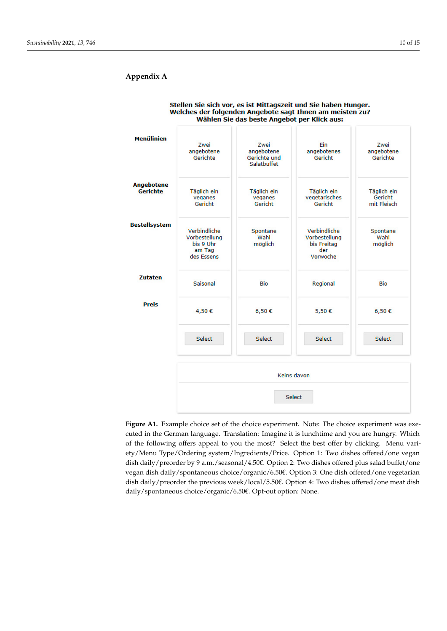# <span id="page-9-1"></span><span id="page-9-0"></span>**Appendix A Appendix A**

| <b>Menülinien</b>                    | Zwei<br>angebotene<br>Gerichte                                     | Zwei<br>angebotene<br>Gerichte und<br>Salatbuffet | Ein<br>angebotenes<br>Gericht                                   | Zwei<br>angebotene<br>Gerichte        |  |  |  |
|--------------------------------------|--------------------------------------------------------------------|---------------------------------------------------|-----------------------------------------------------------------|---------------------------------------|--|--|--|
| <b>Angebotene</b><br><b>Gerichte</b> | Täglich ein<br>veganes<br>Gericht                                  | Täglich ein<br>veganes<br>Gericht                 | Täglich ein<br>vegetarisches<br>Gericht                         | Täglich ein<br>Gericht<br>mit Fleisch |  |  |  |
| <b>Bestellsystem</b>                 | Verbindliche<br>Vorbestellung<br>bis 9 Uhr<br>am Tag<br>des Essens | Spontane<br>Wahl<br>möglich                       | Verbindliche<br>Vorbestellung<br>bis Freitag<br>der<br>Vorwoche | Spontane<br>Wahl<br>möglich           |  |  |  |
| <b>Zutaten</b>                       | Saisonal                                                           | Bio                                               | Regional                                                        | Bio                                   |  |  |  |
| <b>Preis</b>                         | 4,50€                                                              | 6,50€                                             | 5,50€                                                           | 6,50€                                 |  |  |  |
|                                      | Select                                                             | <b>Select</b>                                     | Select                                                          | <b>Select</b>                         |  |  |  |
|                                      |                                                                    |                                                   | Keins davon                                                     |                                       |  |  |  |
|                                      | Select                                                             |                                                   |                                                                 |                                       |  |  |  |

#### Stellen Sie sich vor, es ist Mittagszeit und Sie haben Hunger. Welches der folgenden Angebote sagt Ihnen am meisten zu? Wählen Sie das beste Angebot per Klick aus:

design of the study; in the study; in the collection, and  $\alpha$  in the writing of the man-

**Figure A1.** Example choice set of the choice experiment. Note: The choice experiment **Figure A1.** Example choice set of the choice experiment. Note: The choice experiment was executed in the German language. Translation: Imagine it is lunchtime and you are hungry. Which of the following offers appeal to you the most? Select the best offer by clicking. Menu variety/Menu Type/Ordering system/Ingredients/Price. Option 1: Two dishes offered/one vegan dish daily/preorder by 9 a.m./seasonal/4.50€. Option 2: Two dishes offered plus salad buffet/one vegan dish daily/spontaneous choice/organic/6.50€. Option 3: One dish offered/one vegetarian dish daily/preorder the previous week/local/5.50€. Option 4: Two dishes offered/one meat dish daily/spontaneous choice/organic/6.50€. Opt-out option: None.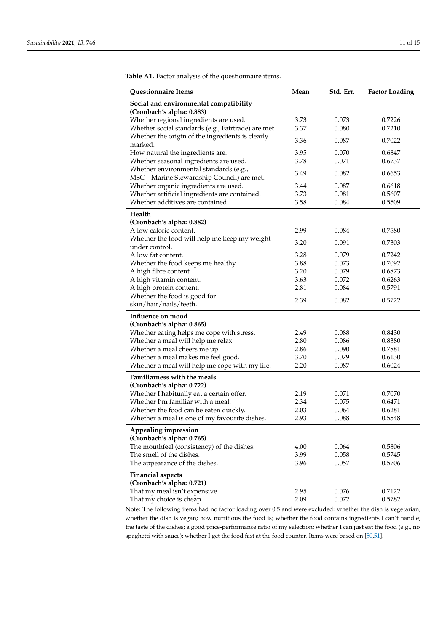| Questionnaire Items                                                    | Mean         | Std. Err.      | <b>Factor Loading</b> |
|------------------------------------------------------------------------|--------------|----------------|-----------------------|
| Social and environmental compatibility                                 |              |                |                       |
| (Cronbach's alpha: 0.883)                                              |              |                |                       |
| Whether regional ingredients are used.                                 | 3.73         | 0.073          | 0.7226                |
| Whether social standards (e.g., Fairtrade) are met.                    | 3.37         | 0.080          | 0.7210                |
| Whether the origin of the ingredients is clearly                       | 3.36         | 0.087          | 0.7022                |
| marked.                                                                |              |                |                       |
| How natural the ingredients are.                                       | 3.95         | 0.070          | 0.6847                |
| Whether seasonal ingredients are used.                                 | 3.78         | 0.071          | 0.6737                |
| Whether environmental standards (e.g.,                                 | 3.49         | 0.082          | 0.6653                |
| MSC-Marine Stewardship Council) are met.                               |              |                |                       |
| Whether organic ingredients are used.                                  | 3.44         | 0.087          | 0.6618                |
| Whether artificial ingredients are contained.                          | 3.73         | 0.081          | 0.5607                |
| Whether additives are contained.                                       | 3.58         | 0.084          | 0.5509                |
| Health                                                                 |              |                |                       |
| (Cronbach's alpha: 0.882)                                              |              |                |                       |
| A low calorie content.                                                 | 2.99         | 0.084          | 0.7580                |
| Whether the food will help me keep my weight                           | 3.20         | 0.091          | 0.7303                |
| under control.                                                         |              |                |                       |
| A low fat content.                                                     | 3.28         | 0.079          | 0.7242                |
| Whether the food keeps me healthy.                                     | 3.88         | 0.073          | 0.7092                |
| A high fibre content.                                                  | 3.20         | 0.079          | 0.6873<br>0.6263      |
| A high vitamin content.<br>A high protein content.                     | 3.63<br>2.81 | 0.072<br>0.084 | 0.5791                |
| Whether the food is good for                                           |              |                |                       |
| skin/hair/nails/teeth.                                                 | 2.39         | 0.082          | 0.5722                |
|                                                                        |              |                |                       |
| Influence on mood                                                      |              |                |                       |
| (Cronbach's alpha: 0.865)<br>Whether eating helps me cope with stress. | 2.49         | 0.088          | 0.8430                |
| Whether a meal will help me relax.                                     | 2.80         | 0.086          | 0.8380                |
| Whether a meal cheers me up.                                           | 2.86         | 0.090          | 0.7881                |
| Whether a meal makes me feel good.                                     | 3.70         | 0.079          | 0.6130                |
| Whether a meal will help me cope with my life.                         | 2.20         | 0.087          | 0.6024                |
|                                                                        |              |                |                       |
| <b>Familiarness with the meals</b>                                     |              |                |                       |
| (Cronbach's alpha: 0.722)<br>Whether I habitually eat a certain offer. | 2.19         | 0.071          | 0.7070                |
| Whether I'm familiar with a meal.                                      | 2.34         | 0.075          | 0.6471                |
| Whether the food can be eaten quickly.                                 | 2.03         | 0.064          | 0.6281                |
| Whether a meal is one of my favourite dishes.                          | 2.93         | 0.088          | 0.5548                |
|                                                                        |              |                |                       |
| Appealing impression                                                   |              |                |                       |
| (Cronbach's alpha: 0.765)                                              |              |                |                       |
| The mouthfeel (consistency) of the dishes.                             | 4.00         | 0.064          | 0.5806                |
| The smell of the dishes.<br>The appearance of the dishes.              | 3.99<br>3.96 | 0.058<br>0.057 | 0.5745<br>0.5706      |
|                                                                        |              |                |                       |
| <b>Financial aspects</b>                                               |              |                |                       |
| (Cronbach's alpha: 0.721)                                              |              |                |                       |
| That my meal isn't expensive.                                          | 2.95         | 0.076          | 0.7122                |
| That my choice is cheap.                                               | 2.09         | 0.072          | 0.5782                |

<span id="page-10-0"></span>**Table A1.** Factor analysis of the questionnaire items.

Note: The following items had no factor loading over 0.5 and were excluded: whether the dish is vegetarian; whether the dish is vegan; how nutritious the food is; whether the food contains ingredients I can't handle; the taste of the dishes; a good price-performance ratio of my selection; whether I can just eat the food (e.g., no spaghetti with sauce); whether I get the food fast at the food counter. Items were based on [\[50](#page-14-2)[,51\]](#page-14-3).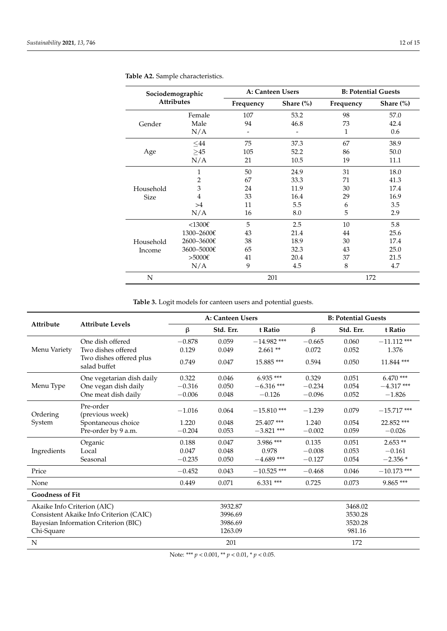| Sociodemographic<br><b>Attributes</b> |                |           | A: Canteen Users | <b>B: Potential Guests</b> |               |  |
|---------------------------------------|----------------|-----------|------------------|----------------------------|---------------|--|
|                                       |                | Frequency | Share $(\% )$    | Frequency                  | Share $(\% )$ |  |
|                                       | Female         | 107       | 53.2             | 98                         | 57.0          |  |
| Gender                                | Male           | 94        | 46.8             | 73                         | 42.4          |  |
|                                       | N/A            |           |                  | 1                          | 0.6           |  |
|                                       | ${\leq}44$     | 75        | 37.3             | 67                         | 38.9          |  |
| Age                                   | $\geq$ 45      | 105       | 52.2             | 86                         | 50.0          |  |
|                                       | N/A            | 21        | 10.5             | 19                         | 11.1          |  |
|                                       | $\mathbf{1}$   | 50        | 24.9             | 31                         | 18.0          |  |
|                                       | $\overline{2}$ | 67        | 33.3             | 71                         | 41.3          |  |
| Household                             | 3              | 24        | 11.9             | 30                         | 17.4          |  |
| <b>Size</b>                           | 4              | 33        | 16.4             | 29                         | 16.9          |  |
|                                       | >4             | 11        | 5.5              | 6                          | 3.5           |  |
|                                       | N/A            | 16        | 8.0              | 5                          | 2.9           |  |
|                                       | $<$ 1300€      | 5         | 2.5              | 10                         | 5.8           |  |
|                                       | 1300-2600€     | 43        | 21.4             | 44                         | 25.6          |  |
| Household                             | 2600-3600€     | 38        | 18.9             | 30                         | 17.4          |  |
| Income                                | 3600-5000€     | 65        | 32.3             | 43                         | 25.0          |  |
|                                       | $>5000$ €      | 41        | 20.4             | 37                         | 21.5          |  |
|                                       | N/A            | 9         | 4.5              | 8                          | 4.7           |  |
| ${\bf N}$                             |                | 201       |                  |                            | 172           |  |

### <span id="page-11-0"></span>**Table A2.** Sample characteristics.

**Table 3.** Logit models for canteen users and potential guests.

<span id="page-11-1"></span>

| Attribute                            | <b>Attribute Levels</b>                 | A: Canteen Users |           |               | <b>B: Potential Guests</b> |           |               |
|--------------------------------------|-----------------------------------------|------------------|-----------|---------------|----------------------------|-----------|---------------|
|                                      |                                         | β                | Std. Err. | t Ratio       | $\beta$                    | Std. Err. | t Ratio       |
|                                      | One dish offered                        | $-0.878$         | 0.059     | $-14.982$ *** | $-0.665$                   | 0.060     | $-11.112$ *** |
| Menu Variety                         | Two dishes offered                      | 0.129            | 0.049     | $2.661**$     | 0.072                      | 0.052     | 1.376         |
|                                      | Two dishes offered plus<br>salad buffet | 0.749            | 0.047     | 15.885***     | 0.594                      | 0.050     | 11.844 ***    |
|                                      | One vegetarian dish daily               | 0.322            | 0.046     | $6.935***$    | 0.329                      | 0.051     | $6.470***$    |
| Menu Type                            | One vegan dish daily                    | $-0.316$         | 0.050     | $-6.316$ ***  | $-0.234$                   | 0.054     | $-4.317***$   |
|                                      | One meat dish daily                     | $-0.006$         | 0.048     | $-0.126$      | $-0.096$                   | 0.052     | $-1.826$      |
| Ordering                             | Pre-order<br>(previous week)            | $-1.016$         | 0.064     | $-15.810$ *** | $-1.239$                   | 0.079     | $-15.717$ *** |
| System                               | Spontaneous choice                      | 1.220            | 0.048     | 25.407***     | 1.240                      | 0.054     | 22.852 ***    |
|                                      | Pre-order by 9 a.m.                     | $-0.204$         | 0.053     | $-3.821$ ***  | $-0.002$                   | 0.059     | $-0.026$      |
|                                      | Organic                                 | 0.188            | 0.047     | $3.986$ ***   | 0.135                      | 0.051     | $2.653**$     |
| Ingredients                          | Local                                   | 0.047            | 0.048     | 0.978         | $-0.008$                   | 0.053     | $-0.161$      |
|                                      | Seasonal                                | $-0.235$         | 0.050     | $-4.689$ ***  | $-0.127$                   | 0.054     | $-2.356*$     |
| Price                                |                                         | $-0.452$         | 0.043     | $-10.525$ *** | $-0.468$                   | 0.046     | $-10.173$ *** |
| None                                 |                                         | 0.449            | 0.071     | $6.331***$    | 0.725                      | 0.073     | $9.865***$    |
| <b>Goodness of Fit</b>               |                                         |                  |           |               |                            |           |               |
| Akaike Info Criterion (AIC)          |                                         | 3932.87          |           |               | 3468.02                    |           |               |
|                                      | Consistent Akaike Info Criterion (CAIC) | 3996.69          |           |               | 3530.28                    |           |               |
| Bayesian Information Criterion (BIC) |                                         | 3986.69          |           |               | 3520.28                    |           |               |
| Chi-Square                           |                                         |                  | 1263.09   |               | 981.16                     |           |               |
| N                                    |                                         |                  | 201       |               | 172                        |           |               |

Note: \*\*\* *p* < 0.001, \*\* *p* < 0.01, \* *p* < 0.05.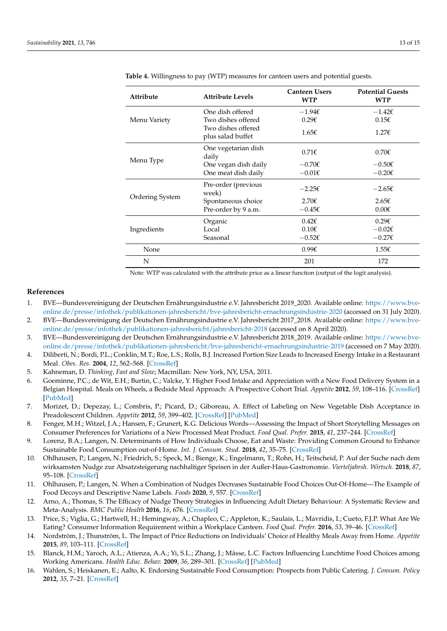| Attribute       | <b>Attribute Levels</b>                 | <b>Canteen Users</b><br><b>WTP</b> | <b>Potential Guests</b><br><b>WTP</b> |
|-----------------|-----------------------------------------|------------------------------------|---------------------------------------|
|                 | One dish offered                        | $-1.94\epsilon$                    | $-1.42\epsilon$                       |
| Menu Variety    | Two dishes offered                      | 0.296                              | $0.15\epsilon$                        |
|                 | Two dishes offered<br>plus salad buffet | $1.65\epsilon$                     | $1.27\epsilon$                        |
|                 | One vegetarian dish<br>daily            | $0.71\epsilon$                     | $0.70\epsilon$                        |
| Menu Type       | One vegan dish daily                    | $-0.70\epsilon$                    | $-0.50 \epsilon$                      |
|                 | One meat dish daily                     | $-0.01\epsilon$                    | $-0.20 \epsilon$                      |
|                 | Pre-order (previous<br>week)            | $-2.25\epsilon$                    | $-2.65\epsilon$                       |
| Ordering System | Spontaneous choice                      | $2.70\epsilon$                     | $2.65\epsilon$                        |
|                 | Pre-order by 9 a.m.                     | $-0.45\epsilon$                    | $0.00 \epsilon$                       |
|                 | Organic                                 | $0.42 \epsilon$                    | 0.296                                 |
| Ingredients     | Local                                   | $0.10 \epsilon$                    | $-0.02\varepsilon$                    |
|                 | Seasonal                                | $-0.52\varepsilon$                 | $-0.27\epsilon$                       |
| None            |                                         | 0.99f                              | 1.55f                                 |
| N               |                                         | 201                                | 172                                   |

<span id="page-12-11"></span>**Table 4.** Willingness to pay (WTP) measures for canteen users and potential guests.

Note: WTP was calculated with the attribute price as a linear function (output of the logit analysis).

### **References**

- <span id="page-12-0"></span>1. BVE—Bundesvereinigung der Deutschen Ernährungsindustrie e.V. Jahresbericht 2019\_2020. Available online: [https://www.bve](https://www.bve-online.de/presse/infothek/publikationen-jahresbericht/bve-jahresbericht-ernaehrungsindustrie-2020)[online.de/presse/infothek/publikationen-jahresbericht/bve-jahresbericht-ernaehrungsindustrie-2020](https://www.bve-online.de/presse/infothek/publikationen-jahresbericht/bve-jahresbericht-ernaehrungsindustrie-2020) (accessed on 31 July 2020).
- <span id="page-12-1"></span>2. BVE—Bundesvereinigung der Deutschen Ernährungsindustrie e.V. Jahresbericht 2017\_2018. Available online: [https://www.bve](https://www.bve-online.de/presse/infothek/publikationen-jahresbericht/jahresbericht-2018)[online.de/presse/infothek/publikationen-jahresbericht/jahresbericht-2018](https://www.bve-online.de/presse/infothek/publikationen-jahresbericht/jahresbericht-2018) (accessed on 8 April 2020).
- <span id="page-12-2"></span>3. BVE—Bundesvereinigung der Deutschen Ernährungsindustrie e.V. Jahresbericht 2018\_2019. Available online: [https://www.bve](https://www.bve-online.de/presse/infothek/publikationen-jahresbericht/bve-jahresbericht-ernaehrungsindustrie-2019)[online.de/presse/infothek/publikationen-jahresbericht/bve-jahresbericht-ernaehrungsindustrie-2019](https://www.bve-online.de/presse/infothek/publikationen-jahresbericht/bve-jahresbericht-ernaehrungsindustrie-2019) (accessed on 7 May 2020).
- <span id="page-12-3"></span>4. Diliberti, N.; Bordi, P.L.; Conklin, M.T.; Roe, L.S.; Rolls, B.J. Increased Portion Size Leads to Increased Energy Intake in a Restaurant Meal. *Obes. Res.* **2004**, *12*, 562–568. [\[CrossRef\]](http://doi.org/10.1038/oby.2004.64)
- <span id="page-12-12"></span>5. Kahneman, D. *Thinking, Fast and Slow*; Macmillan: New York, NY, USA, 2011.
- 6. Goeminne, P.C.; de Wit, E.H.; Burtin, C.; Valcke, Y. Higher Food Intake and Appreciation with a New Food Delivery System in a Belgian Hospital. Meals on Wheels, a Bedside Meal Approach: A Prospective Cohort Trial. *Appetite* **2012**, *59*, 108–116. [\[CrossRef\]](http://doi.org/10.1016/j.appet.2012.04.008) [\[PubMed\]](http://www.ncbi.nlm.nih.gov/pubmed/22521517)
- 7. Morizet, D.; Depezay, L.; Combris, P.; Picard, D.; Giboreau, A. Effect of Labeling on New Vegetable Dish Acceptance in Preadolescent Children. *Appetite* **2012**, *59*, 399–402. [\[CrossRef\]](http://doi.org/10.1016/j.appet.2012.05.030) [\[PubMed\]](http://www.ncbi.nlm.nih.gov/pubmed/22664298)
- 8. Fenger, M.H.; Witzel, J.A.; Hansen, F.; Grunert, K.G. Delicious Words—Assessing the Impact of Short Storytelling Messages on Consumer Preferences for Variations of a New Processed Meat Product. *Food Qual. Prefer.* **2015**, *41*, 237–244. [\[CrossRef\]](http://doi.org/10.1016/j.foodqual.2014.11.016)
- <span id="page-12-5"></span>9. Lorenz, B.A.; Langen, N. Determinants of How Individuals Choose, Eat and Waste: Providing Common Ground to Enhance Sustainable Food Consumption out-of-Home. *Int. J. Consum. Stud.* **2018**, *42*, 35–75. [\[CrossRef\]](http://doi.org/10.1111/ijcs.12392)
- <span id="page-12-10"></span>10. Ohlhausen, P.; Langen, N.; Friedrich, S.; Speck, M.; Bienge, K.; Engelmann, T.; Rohn, H.; Teitscheid, P. Auf der Suche nach dem wirksamsten Nudge zur Absatzsteigerung nachhaltiger Speisen in der Außer-Haus-Gastronomie. *Vierteljahrsh. Wirtsch.* **2018**, *87*, 95–108. [\[CrossRef\]](http://doi.org/10.3790/vjh.87.2.95)
- 11. Ohlhausen, P.; Langen, N. When a Combination of Nudges Decreases Sustainable Food Choices Out-Of-Home—The Example of Food Decoys and Descriptive Name Labels. *Foods* **2020**, *9*, 557. [\[CrossRef\]](http://doi.org/10.3390/foods9050557)
- <span id="page-12-4"></span>12. Arno, A.; Thomas, S. The Efficacy of Nudge Theory Strategies in Influencing Adult Dietary Behaviour: A Systematic Review and Meta-Analysis. *BMC Public Health* **2016**, *16*, 676. [\[CrossRef\]](http://doi.org/10.1186/s12889-016-3272-x)
- <span id="page-12-6"></span>13. Price, S.; Viglia, G.; Hartwell, H.; Hemingway, A.; Chapleo, C.; Appleton, K.; Saulais, L.; Mavridis, I.; Cueto, F.J.P. What Are We Eating? Consumer Information Requirement within a Workplace Canteen. *Food Qual. Prefer.* **2016**, *53*, 39–46. [\[CrossRef\]](http://doi.org/10.1016/j.foodqual.2016.05.014)
- <span id="page-12-7"></span>14. Nordström, J.; Thunström, L. The Impact of Price Reductions on Individuals' Choice of Healthy Meals Away from Home. *Appetite* **2015**, *89*, 103–111. [\[CrossRef\]](http://doi.org/10.1016/j.appet.2015.01.023)
- <span id="page-12-8"></span>15. Blanck, H.M.; Yaroch, A.L.; Atienza, A.A.; Yi, S.L.; Zhang, J.; Mâsse, L.C. Factors Influencing Lunchtime Food Choices among Working Americans. *Health Educ. Behav.* **2009**, *36*, 289–301. [\[CrossRef\]](http://doi.org/10.1177/1090198107303308) [\[PubMed\]](http://www.ncbi.nlm.nih.gov/pubmed/17602103)
- <span id="page-12-9"></span>16. Wahlen, S.; Heiskanen, E.; Aalto, K. Endorsing Sustainable Food Consumption: Prospects from Public Catering. *J. Consum. Policy* **2012**, *35*, 7–21. [\[CrossRef\]](http://doi.org/10.1007/s10603-011-9183-4)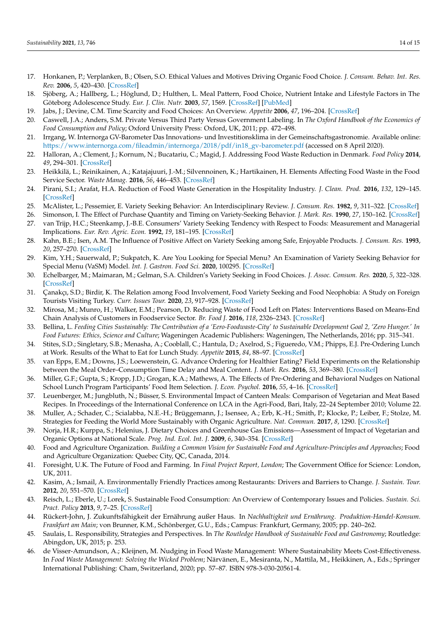- <span id="page-13-0"></span>17. Honkanen, P.; Verplanken, B.; Olsen, S.O. Ethical Values and Motives Driving Organic Food Choice. *J. Consum. Behav. Int. Res. Rev.* **2006**, *5*, 420–430. [\[CrossRef\]](http://doi.org/10.1002/cb.190)
- <span id="page-13-1"></span>18. Sjöberg, A.; Hallberg, L.; Höglund, D.; Hulthen, L. Meal Pattern, Food Choice, Nutrient Intake and Lifestyle Factors in The Göteborg Adolescence Study. *Eur. J. Clin. Nutr.* **2003**, *57*, 1569. [\[CrossRef\]](http://doi.org/10.1038/sj.ejcn.1601726) [\[PubMed\]](http://www.ncbi.nlm.nih.gov/pubmed/14647222)
- <span id="page-13-2"></span>19. Jabs, J.; Devine, C.M. Time Scarcity and Food Choices: An Overview. *Appetite* **2006**, *47*, 196–204. [\[CrossRef\]](http://doi.org/10.1016/j.appet.2006.02.014)
- <span id="page-13-3"></span>20. Caswell, J.A.; Anders, S.M. Private Versus Third Party Versus Government Labeling. In *The Oxford Handbook of the Economics of Food Consumption and Policy*; Oxford University Press: Oxford, UK, 2011; pp. 472–498.
- <span id="page-13-4"></span>21. Irrgang, W. Internorga GV-Barometer Das Innovations- und Investitionsklima in der Gemeinschaftsgastronomie. Available online: [https://www.internorga.com/fileadmin/internorga/2018/pdf/in18\\_gv-barometer.pdf](https://www.internorga.com/fileadmin/internorga/2018/pdf/in18_gv-barometer.pdf) (accessed on 8 April 2020).
- <span id="page-13-5"></span>22. Halloran, A.; Clement, J.; Kornum, N.; Bucatariu, C.; Magid, J. Addressing Food Waste Reduction in Denmark. *Food Policy* **2014**, *49*, 294–301. [\[CrossRef\]](http://doi.org/10.1016/j.foodpol.2014.09.005)
- <span id="page-13-11"></span>23. Heikkilä, L.; Reinikainen, A.; Katajajuuri, J.-M.; Silvennoinen, K.; Hartikainen, H. Elements Affecting Food Waste in the Food Service Sector. *Waste Manag.* **2016**, *56*, 446–453. [\[CrossRef\]](http://doi.org/10.1016/j.wasman.2016.06.019)
- <span id="page-13-6"></span>24. Pirani, S.I.; Arafat, H.A. Reduction of Food Waste Generation in the Hospitality Industry. *J. Clean. Prod.* **2016**, *132*, 129–145. [\[CrossRef\]](http://doi.org/10.1016/j.jclepro.2015.07.146)
- <span id="page-13-7"></span>25. McAlister, L.; Pessemier, E. Variety Seeking Behavior: An Interdisciplinary Review. *J. Consum. Res.* **1982**, *9*, 311–322. [\[CrossRef\]](http://doi.org/10.1086/208926)
- 26. Simonson, I. The Effect of Purchase Quantity and Timing on Variety-Seeking Behavior. *J. Mark. Res.* **1990**, *27*, 150–162. [\[CrossRef\]](http://doi.org/10.1177/002224379002700203)
- 27. van Trijp, H.C.; Steenkamp, J.-B.E. Consumers' Variety Seeking Tendency with Respect to Foods: Measurement and Managerial Implications. *Eur. Rev. Agric. Econ.* **1992**, *19*, 181–195. [\[CrossRef\]](http://doi.org/10.1093/erae/19.2.181)
- <span id="page-13-8"></span>28. Kahn, B.E.; Isen, A.M. The Influence of Positive Affect on Variety Seeking among Safe, Enjoyable Products. *J. Consum. Res.* **1993**, *20*, 257–270. [\[CrossRef\]](http://doi.org/10.1086/209347)
- <span id="page-13-9"></span>29. Kim, Y.H.; Sauerwald, P.; Sukpatch, K. Are You Looking for Special Menu? An Examination of Variety Seeking Behavior for Special Menu (VaSM) Model. *Int. J. Gastron. Food Sci.* **2020**, 100295. [\[CrossRef\]](http://doi.org/10.1016/j.ijgfs.2020.100295)
- 30. Echelbarger, M.; Maimaran, M.; Gelman, S.A. Children's Variety Seeking in Food Choices. *J. Assoc. Consum. Res.* **2020**, *5*, 322–328. [\[CrossRef\]](http://doi.org/10.1086/709172)
- <span id="page-13-10"></span>31. Çanakçı, S.D.; Birdir, K. The Relation among Food Involvement, Food Variety Seeking and Food Neophobia: A Study on Foreign Tourists Visiting Turkey. *Curr. Issues Tour.* **2020**, *23*, 917–928. [\[CrossRef\]](http://doi.org/10.1080/13683500.2019.1602114)
- <span id="page-13-12"></span>32. Mirosa, M.; Munro, H.; Walker, E.M.; Pearson, D. Reducing Waste of Food Left on Plates: Interventions Based on Means-End Chain Analysis of Customers in Foodservice Sector. *Br. Food J.* **2016**, *118*, 2326–2343. [\[CrossRef\]](http://doi.org/10.1108/BFJ-12-2015-0460)
- <span id="page-13-13"></span>33. Bellina, L. *Feeding Cities Sustainably: The Contribution of a 'Eero-Foodwaste-City' to Sustainable Development Goal 2, 'Zero Hunger.' In Food Futures: Ethics, Science and Culture*; Wageningen Academic Publishers: Wageningen, The Netherlands, 2016; pp. 315–341.
- <span id="page-13-14"></span>34. Stites, S.D.; Singletary, S.B.; Menasha, A.; Cooblall, C.; Hantula, D.; Axelrod, S.; Figueredo, V.M.; Phipps, E.J. Pre-Ordering Lunch at Work. Results of the What to Eat for Lunch Study. *Appetite* **2015**, *84*, 88–97. [\[CrossRef\]](http://doi.org/10.1016/j.appet.2014.10.005)
- 35. van Epps, E.M.; Downs, J.S.; Loewenstein, G. Advance Ordering for Healthier Eating? Field Experiments on the Relationship between the Meal Order–Consumption Time Delay and Meal Content. *J. Mark. Res.* **2016**, *53*, 369–380. [\[CrossRef\]](http://doi.org/10.1509/jmr.14.0234)
- <span id="page-13-15"></span>36. Miller, G.F.; Gupta, S.; Kropp, J.D.; Grogan, K.A.; Mathews, A. The Effects of Pre-Ordering and Behavioral Nudges on National School Lunch Program Participants' Food Item Selection. *J. Econ. Psychol.* **2016**, *55*, 4–16. [\[CrossRef\]](http://doi.org/10.1016/j.joep.2016.02.010)
- <span id="page-13-16"></span>37. Leuenberger, M.; Jungbluth, N.; Büsser, S. Environmental Impact of Canteen Meals: Comparison of Vegetarian and Meat Based Recipes. In Proceedings of the International Conference on LCA in the Agri-Food, Bari, Italy, 22–24 September 2010; Volume 22.
- 38. Muller, A.; Schader, C.; Scialabba, N.E.-H.; Brüggemann, J.; Isensee, A.; Erb, K.-H.; Smith, P.; Klocke, P.; Leiber, F.; Stolze, M. Strategies for Feeding the World More Sustainably with Organic Agriculture. *Nat. Commun.* **2017**, *8*, 1290. [\[CrossRef\]](http://doi.org/10.1038/s41467-017-01410-w)
- <span id="page-13-17"></span>39. Norja, H.R.; Kurppa, S.; Helenius, J. Dietary Choices and Greenhouse Gas Emissions—Assessment of Impact of Vegetarian and Organic Options at National Scale. *Prog. Ind. Ecol. Int. J.* **2009**, *6*, 340–354. [\[CrossRef\]](http://doi.org/10.1504/PIE.2009.032323)
- <span id="page-13-18"></span>40. Food and Agriculture Organization. *Building a Common Vision for Sustainable Food and Agriculture-Principles and Approaches*; Food and Agriculture Organization: Quebec City, QC, Canada, 2014.
- <span id="page-13-19"></span>41. Foresight, U.K. The Future of Food and Farming. In *Final Project Report, London*; The Government Office for Science: London, UK, 2011.
- <span id="page-13-20"></span>42. Kasim, A.; Ismail, A. Environmentally Friendly Practices among Restaurants: Drivers and Barriers to Change. *J. Sustain. Tour.* **2012**, *20*, 551–570. [\[CrossRef\]](http://doi.org/10.1080/09669582.2011.621540)
- 43. Reisch, L.; Eberle, U.; Lorek, S. Sustainable Food Consumption: An Overview of Contemporary Issues and Policies. *Sustain. Sci. Pract. Policy* **2013**, *9*, 7–25. [\[CrossRef\]](http://doi.org/10.1080/15487733.2013.11908111)
- <span id="page-13-21"></span>44. Rückert-John, J. Zukunftsfähigkeit der Ernährung außer Haus. In *Nachhaltigkeit und Ernährung. Produktion-Handel-Konsum. Frankfurt am Main*; von Brunner, K.M., Schönberger, G.U., Eds.; Campus: Frankfurt, Germany, 2005; pp. 240–262.
- <span id="page-13-22"></span>45. Saulais, L. Responsibility, Strategies and Perspectives. In *The Routledge Handbook of Sustainable Food and Gastronomy*; Routledge: Abingdon, UK, 2015; p. 253.
- <span id="page-13-23"></span>46. de Visser-Amundson, A.; Kleijnen, M. Nudging in Food Waste Management: Where Sustainability Meets Cost-Effectiveness. In *Food Waste Management: Solving the Wicked Problem*; Närvänen, E., Mesiranta, N., Mattila, M., Heikkinen, A., Eds.; Springer International Publishing: Cham, Switzerland, 2020; pp. 57–87. ISBN 978-3-030-20561-4.